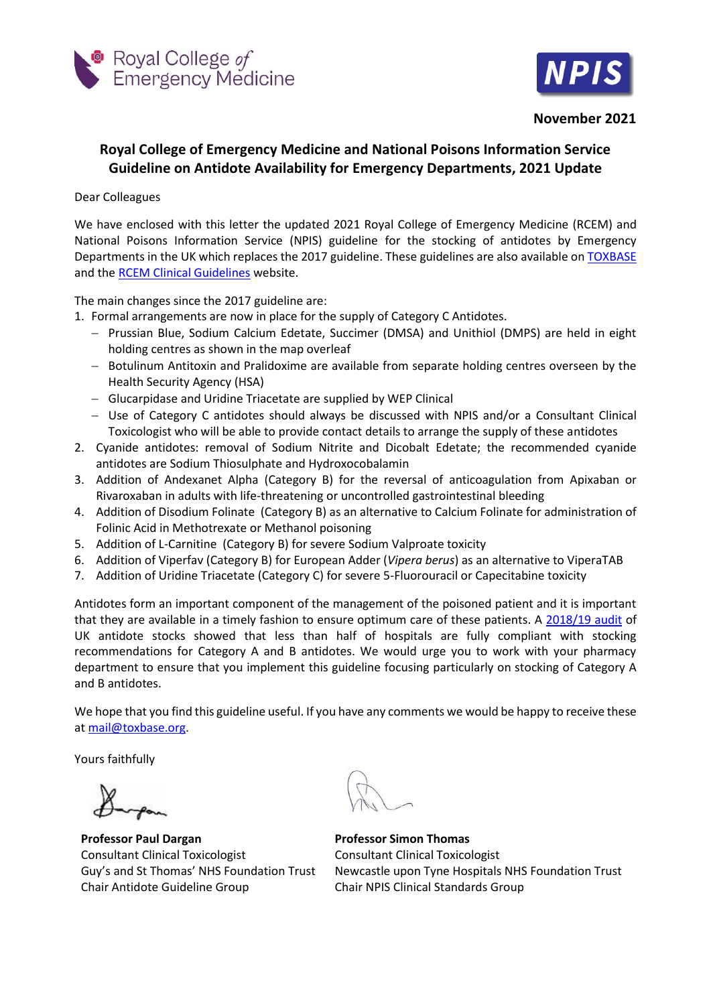



**November 2021**

## **Royal College of Emergency Medicine and National Poisons Information Service Guideline on Antidote Availability for Emergency Departments, 2021 Update**

## Dear Colleagues

We have enclosed with this letter the updated 2021 Royal College of Emergency Medicine (RCEM) and National Poisons Information Service (NPIS) guideline for the stocking of antidotes by Emergency Departments in the UK which replaces the 2017 guideline. These guidelines are also available on [TOXBASE](https://www.toxbase.org/) and the [RCEM Clinical Guidelines](https://rcem.ac.uk/clinical-guidelines/) website.

The main changes since the 2017 guideline are:

- 1. Formal arrangements are now in place for the supply of Category C Antidotes.
	- Prussian Blue, Sodium Calcium Edetate, Succimer (DMSA) and Unithiol (DMPS) are held in eight holding centres as shown in the map overleaf
	- Botulinum Antitoxin and Pralidoxime are available from separate holding centres overseen by the Health Security Agency (HSA)
	- Glucarpidase and Uridine Triacetate are supplied by WEP Clinical
	- Use of Category C antidotes should always be discussed with NPIS and/or a Consultant Clinical Toxicologist who will be able to provide contact details to arrange the supply of these antidotes
- 2. Cyanide antidotes: removal of Sodium Nitrite and Dicobalt Edetate; the recommended cyanide antidotes are Sodium Thiosulphate and Hydroxocobalamin
- 3. Addition of Andexanet Alpha (Category B) for the reversal of anticoagulation from Apixaban or Rivaroxaban in adults with life-threatening or uncontrolled gastrointestinal bleeding
- 4. Addition of Disodium Folinate (Category B) as an alternative to Calcium Folinate for administration of Folinic Acid in Methotrexate or Methanol poisoning
- 5. Addition of L-Carnitine (Category B) for severe Sodium Valproate toxicity
- 6. Addition of Viperfav (Category B) for European Adder (*Vipera berus*) as an alternative to ViperaTAB
- 7. Addition of Uridine Triacetate (Category C) for severe 5-Fluorouracil or Capecitabine toxicity

Antidotes form an important component of the management of the poisoned patient and it is important that they are available in a timely fashion to ensure optimum care of these patients. A [2018/19 audit](https://pubmed.ncbi.nlm.nih.gov/34162673/) of UK antidote stocks showed that less than half of hospitals are fully compliant with stocking recommendations for Category A and B antidotes. We would urge you to work with your pharmacy department to ensure that you implement this guideline focusing particularly on stocking of Category A and B antidotes.

We hope that you find this guideline useful. If you have any comments we would be happy to receive these at [mail@toxbase.org.](mailto:mail@toxbase.orgo)

Yours faithfully

**Professor Paul Dargan** Consultant Clinical Toxicologist Guy's and St Thomas' NHS Foundation Trust Chair Antidote Guideline Group

**Professor Simon Thomas** Consultant Clinical Toxicologist Newcastle upon Tyne Hospitals NHS Foundation Trust Chair NPIS Clinical Standards Group